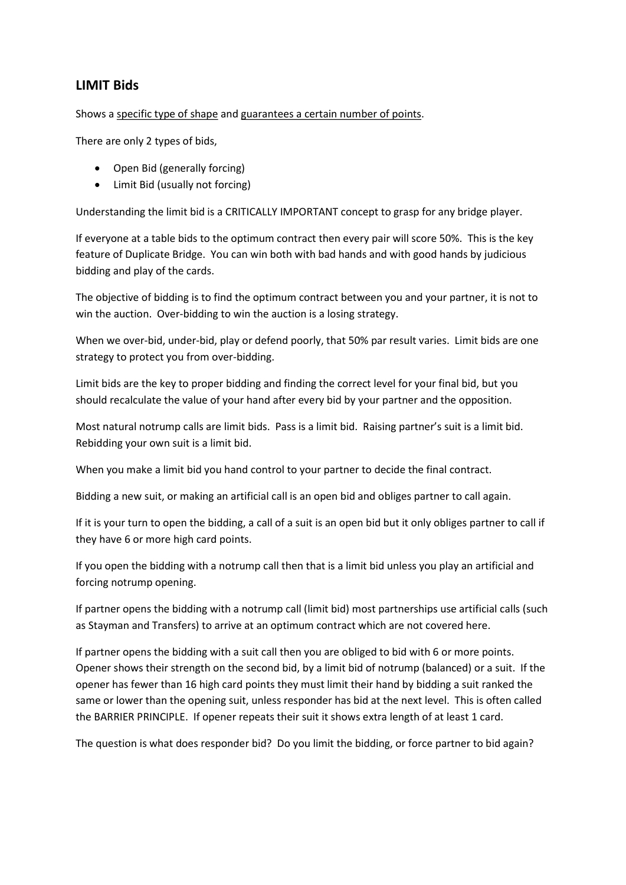## LIMIT Bids

Shows a specific type of shape and guarantees a certain number of points.

There are only 2 types of bids,

- Open Bid (generally forcing)
- Limit Bid (usually not forcing)

Understanding the limit bid is a CRITICALLY IMPORTANT concept to grasp for any bridge player.

If everyone at a table bids to the optimum contract then every pair will score 50%. This is the key feature of Duplicate Bridge. You can win both with bad hands and with good hands by judicious bidding and play of the cards.

The objective of bidding is to find the optimum contract between you and your partner, it is not to win the auction. Over-bidding to win the auction is a losing strategy.

When we over-bid, under-bid, play or defend poorly, that 50% par result varies. Limit bids are one strategy to protect you from over-bidding.

Limit bids are the key to proper bidding and finding the correct level for your final bid, but you should recalculate the value of your hand after every bid by your partner and the opposition.

Most natural notrump calls are limit bids. Pass is a limit bid. Raising partner's suit is a limit bid. Rebidding your own suit is a limit bid.

When you make a limit bid you hand control to your partner to decide the final contract.

Bidding a new suit, or making an artificial call is an open bid and obliges partner to call again.

If it is your turn to open the bidding, a call of a suit is an open bid but it only obliges partner to call if they have 6 or more high card points.

If you open the bidding with a notrump call then that is a limit bid unless you play an artificial and forcing notrump opening.

If partner opens the bidding with a notrump call (limit bid) most partnerships use artificial calls (such as Stayman and Transfers) to arrive at an optimum contract which are not covered here.

If partner opens the bidding with a suit call then you are obliged to bid with 6 or more points. Opener shows their strength on the second bid, by a limit bid of notrump (balanced) or a suit. If the opener has fewer than 16 high card points they must limit their hand by bidding a suit ranked the same or lower than the opening suit, unless responder has bid at the next level. This is often called the BARRIER PRINCIPLE. If opener repeats their suit it shows extra length of at least 1 card.

The question is what does responder bid? Do you limit the bidding, or force partner to bid again?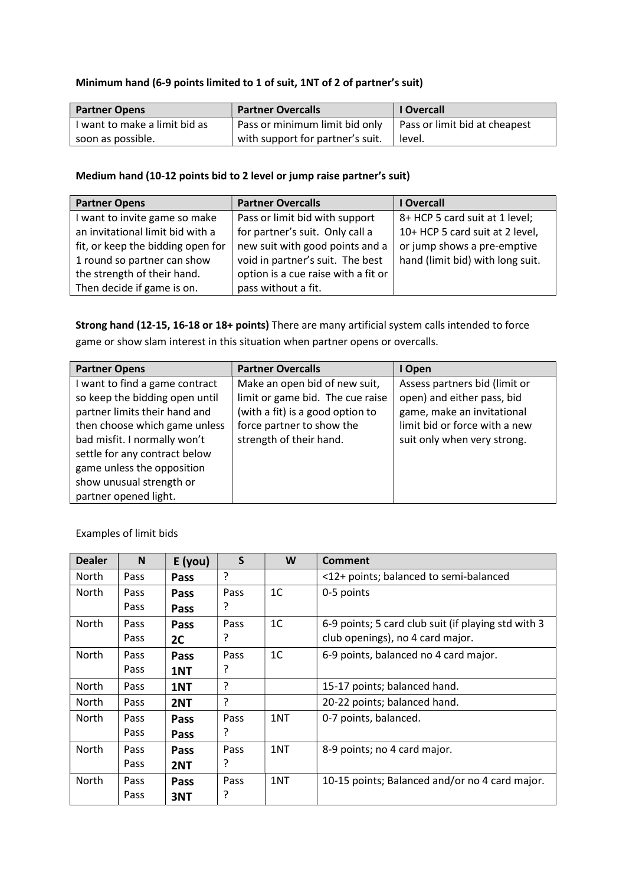## Minimum hand (6-9 points limited to 1 of suit, 1NT of 2 of partner's suit)

| <b>Partner Opens</b>          | <b>Partner Overcalls</b>         | <b>I</b> Overcall             |
|-------------------------------|----------------------------------|-------------------------------|
| I want to make a limit bid as | Pass or minimum limit bid only   | Pass or limit bid at cheapest |
| soon as possible.             | with support for partner's suit. | level.                        |

## Medium hand (10-12 points bid to 2 level or jump raise partner's suit)

| <b>Partner Opens</b>              | <b>Partner Overcalls</b>            | <b>Overcall</b>                  |
|-----------------------------------|-------------------------------------|----------------------------------|
| I want to invite game so make     | Pass or limit bid with support      | 8+ HCP 5 card suit at 1 level;   |
| an invitational limit bid with a  | for partner's suit. Only call a     | 10+ HCP 5 card suit at 2 level,  |
| fit, or keep the bidding open for | new suit with good points and a     | or jump shows a pre-emptive      |
| 1 round so partner can show       | void in partner's suit. The best    | hand (limit bid) with long suit. |
| the strength of their hand.       | option is a cue raise with a fit or |                                  |
| Then decide if game is on.        | pass without a fit.                 |                                  |

Strong hand (12-15, 16-18 or 18+ points) There are many artificial system calls intended to force game or show slam interest in this situation when partner opens or overcalls.

| <b>Partner Opens</b>           | <b>Partner Overcalls</b>         | I Open                        |
|--------------------------------|----------------------------------|-------------------------------|
| I want to find a game contract | Make an open bid of new suit,    | Assess partners bid (limit or |
| so keep the bidding open until | limit or game bid. The cue raise | open) and either pass, bid    |
| partner limits their hand and  | (with a fit) is a good option to | game, make an invitational    |
| then choose which game unless  | force partner to show the        | limit bid or force with a new |
| bad misfit. I normally won't   | strength of their hand.          | suit only when very strong.   |
| settle for any contract below  |                                  |                               |
| game unless the opposition     |                                  |                               |
| show unusual strength or       |                                  |                               |
| partner opened light.          |                                  |                               |

| <b>Dealer</b> | N           | E(you)      | $\mathsf{S}$ | W              | <b>Comment</b>                                      |
|---------------|-------------|-------------|--------------|----------------|-----------------------------------------------------|
| North         | Pass        | Pass        | ?            |                | <12+ points; balanced to semi-balanced              |
| North         | Pass        | Pass        | Pass         | 1 <sup>C</sup> | 0-5 points                                          |
|               | <b>Pass</b> | <b>Pass</b> | ?            |                |                                                     |
| North         | Pass        | <b>Pass</b> | Pass         | 1 <sup>C</sup> | 6-9 points; 5 card club suit (if playing std with 3 |
|               | <b>Pass</b> | 2C          |              |                | club openings), no 4 card major.                    |
| North         | Pass        | Pass        | Pass         | 1 <sup>C</sup> | 6-9 points, balanced no 4 card major.               |
|               | <b>Pass</b> | 1NT         | ?            |                |                                                     |
| North         | Pass        | 1NT         | ?            |                | 15-17 points; balanced hand.                        |
| North         | Pass        | 2NT         | ?            |                | 20-22 points; balanced hand.                        |
| North         | Pass        | <b>Pass</b> | Pass         | 1NT            | 0-7 points, balanced.                               |
|               | Pass        | <b>Pass</b> | ?            |                |                                                     |
| North         | Pass        | Pass        | Pass         | 1NT            | 8-9 points; no 4 card major.                        |
|               | Pass        | 2NT         | ?            |                |                                                     |
| <b>North</b>  | Pass        | Pass        | Pass         | 1NT            | 10-15 points; Balanced and/or no 4 card major.      |
|               | Pass        | 3NT         | ?            |                |                                                     |

Examples of limit bids